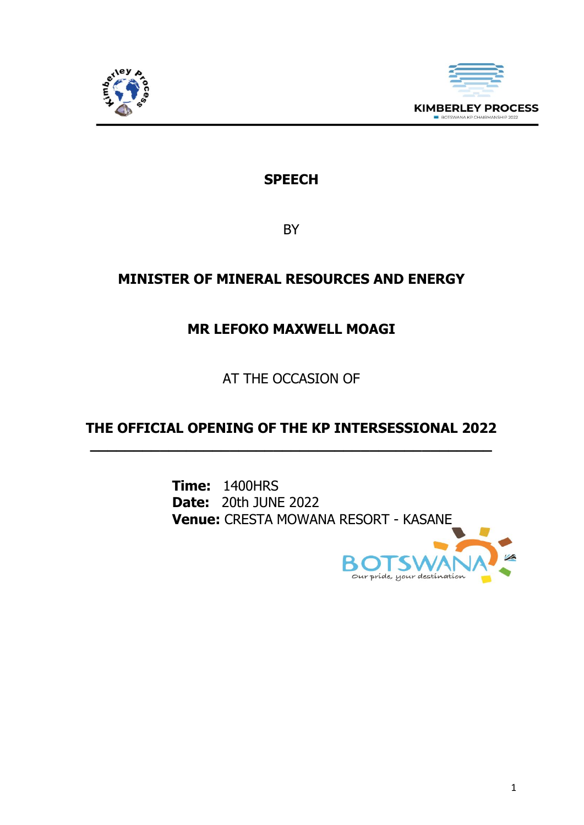



## **SPEECH**

BY

# **MINISTER OF MINERAL RESOURCES AND ENERGY**

### **MR LEFOKO MAXWELL MOAGI**

AT THE OCCASION OF

### **THE OFFICIAL OPENING OF THE KP INTERSESSIONAL 2022 \_\_\_\_\_\_\_\_\_\_\_\_\_\_\_\_\_\_\_\_\_\_\_\_\_\_\_\_\_\_\_\_\_\_\_\_\_\_\_\_\_\_\_\_\_\_**

**Time:** 1400HRS **Date:** 20th JUNE 2022 **Venue:** CRESTA MOWANA RESORT - KASANE

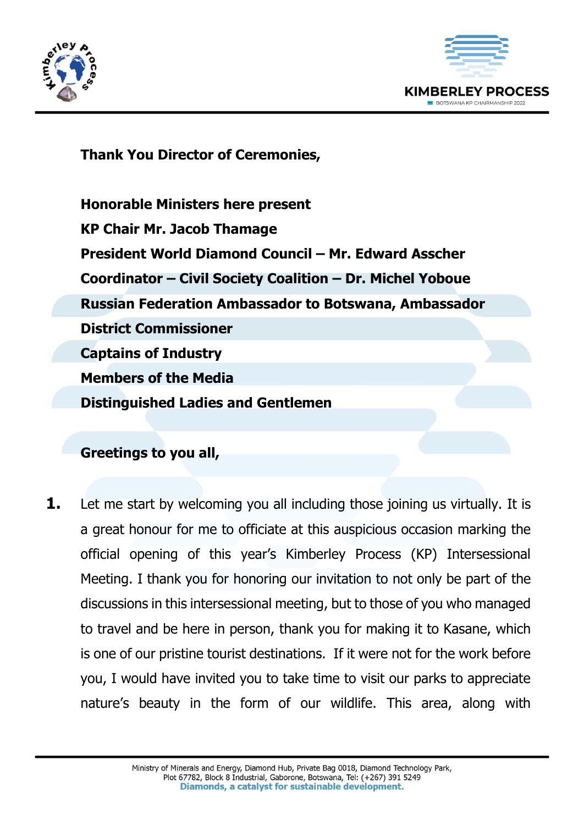



**Thank You Director of Ceremonies,** 

**Honorable Ministers here present KP Chair Mr. Jacob Thamage President World Diamond Council – Mr. Edward Asscher Coordinator – Civil Society Coalition – Dr. Michel Yoboue Russian Federation Ambassador to Botswana, Ambassador District Commissioner Captains of Industry Members of the Media Distinguished Ladies and Gentlemen**

#### **Greetings to you all,**

**1.** Let me start by welcoming you all including those joining us virtually. It is a great honour for me to officiate at this auspicious occasion marking the official opening of this year's Kimberley Process (KP) Intersessional Meeting. I thank you for honoring our invitation to not only be part of the discussions in this intersessional meeting, but to those of you who managed to travel and be here in person, thank you for making it to Kasane, which is one of our pristine tourist destinations. If it were not for the work before you, I would have invited you to take time to visit our parks to appreciate nature's beauty in the form of our wildlife. This area, along with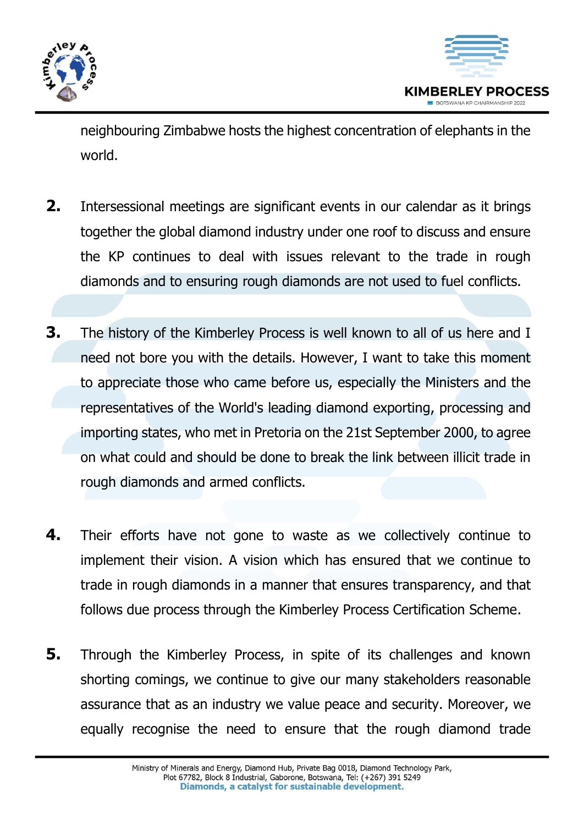



neighbouring Zimbabwe hosts the highest concentration of elephants in the world.

- **2.** Intersessional meetings are significant events in our calendar as it brings together the global diamond industry under one roof to discuss and ensure the KP continues to deal with issues relevant to the trade in rough diamonds and to ensuring rough diamonds are not used to fuel conflicts.
- **3.** The history of the Kimberley Process is well known to all of us here and I need not bore you with the details. However, I want to take this moment to appreciate those who came before us, especially the Ministers and the representatives of the World's leading diamond exporting, processing and importing states, who met in Pretoria on the 21st September 2000, to agree on what could and should be done to break the link between illicit trade in rough diamonds and armed conflicts.
- **4.** Their efforts have not gone to waste as we collectively continue to implement their vision. A vision which has ensured that we continue to trade in rough diamonds in a manner that ensures transparency, and that follows due process through the Kimberley Process Certification Scheme.
- **5.** Through the Kimberley Process, in spite of its challenges and known shorting comings, we continue to give our many stakeholders reasonable assurance that as an industry we value peace and security. Moreover, we equally recognise the need to ensure that the rough diamond trade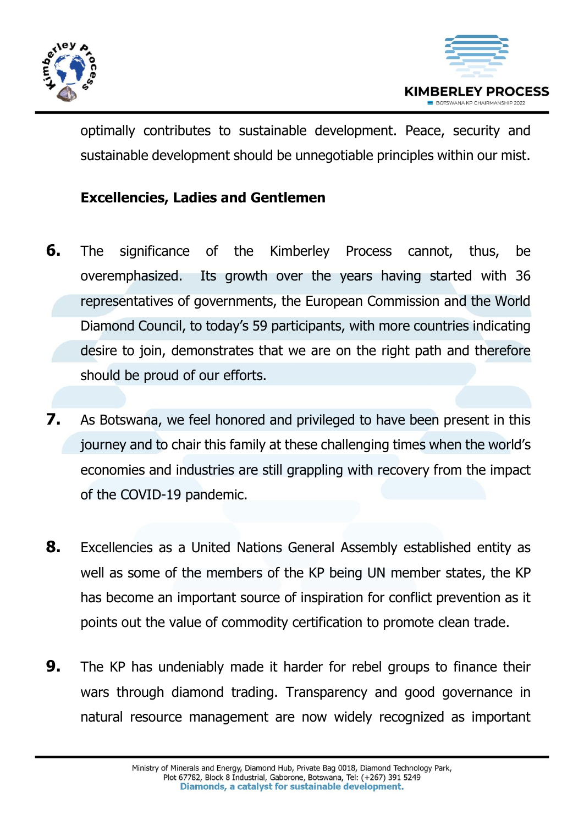



optimally contributes to sustainable development. Peace, security and sustainable development should be unnegotiable principles within our mist.

### **Excellencies, Ladies and Gentlemen**

- **6.** The significance of the Kimberley Process cannot, thus, be overemphasized. Its growth over the years having started with 36 representatives of governments, the European Commission and the World Diamond Council, to today's 59 participants, with more countries indicating desire to join, demonstrates that we are on the right path and therefore should be proud of our efforts.
- **7.** As Botswana, we feel honored and privileged to have been present in this journey and to chair this family at these challenging times when the world's economies and industries are still grappling with recovery from the impact of the COVID-19 pandemic.
- **8.** Excellencies as a United Nations General Assembly established entity as well as some of the members of the KP being UN member states, the KP has become an important source of inspiration for conflict prevention as it points out the value of commodity certification to promote clean trade.
- **9.** The KP has undeniably made it harder for rebel groups to finance their wars through diamond trading. Transparency and good governance in natural resource management are now widely recognized as important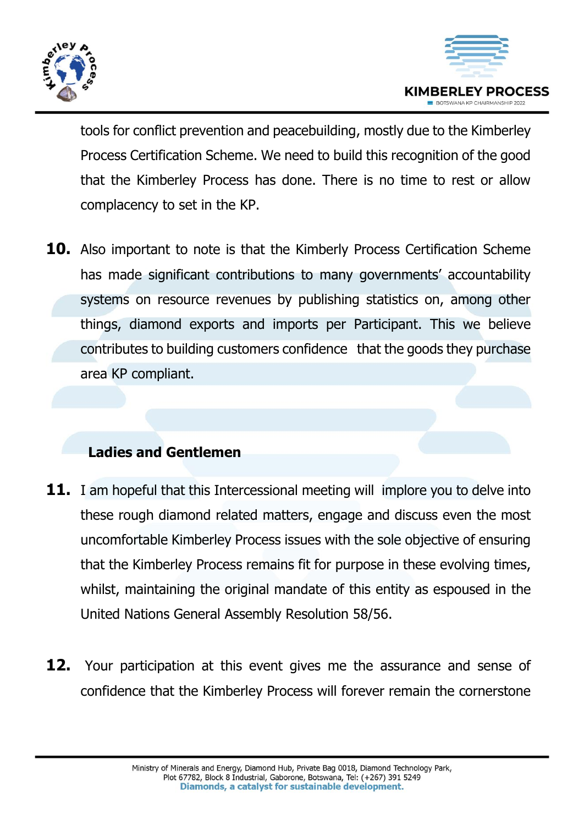



tools for conflict prevention and peacebuilding, mostly due to the Kimberley Process Certification Scheme. We need to build this recognition of the good that the Kimberley Process has done. There is no time to rest or allow complacency to set in the KP.

**10.** Also important to note is that the Kimberly Process Certification Scheme has made significant contributions to many governments' accountability systems on resource revenues by publishing statistics on, among other things, diamond exports and imports per Participant. This we believe contributes to building customers confidence that the goods they purchase area KP compliant.

### **Ladies and Gentlemen**

- **11.** I am hopeful that this Intercessional meeting will implore you to delve into these rough diamond related matters, engage and discuss even the most uncomfortable Kimberley Process issues with the sole objective of ensuring that the Kimberley Process remains fit for purpose in these evolving times, whilst, maintaining the original mandate of this entity as espoused in the United Nations General Assembly Resolution 58/56.
- **12.** Your participation at this event gives me the assurance and sense of confidence that the Kimberley Process will forever remain the cornerstone